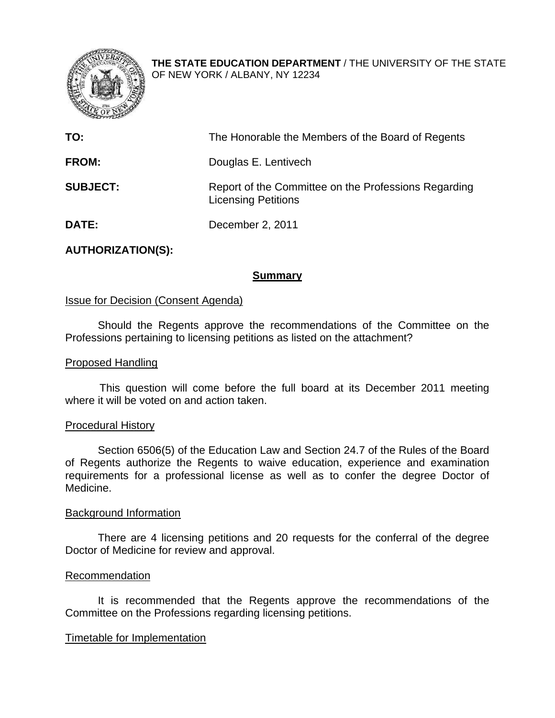

**THE STATE EDUCATION DEPARTMENT** / THE UNIVERSITY OF THE STATE OF NEW YORK / ALBANY, NY 12234

| TO:             | The Honorable the Members of the Board of Regents                                  |
|-----------------|------------------------------------------------------------------------------------|
| <b>FROM:</b>    | Douglas E. Lentivech                                                               |
| <b>SUBJECT:</b> | Report of the Committee on the Professions Regarding<br><b>Licensing Petitions</b> |
| <b>DATE:</b>    | December 2, 2011                                                                   |

# **AUTHORIZATION(S):**

# **Summary**

### Issue for Decision (Consent Agenda)

Should the Regents approve the recommendations of the Committee on the Professions pertaining to licensing petitions as listed on the attachment?

### Proposed Handling

This question will come before the full board at its December 2011 meeting where it will be voted on and action taken.

### Procedural History

Section 6506(5) of the Education Law and Section 24.7 of the Rules of the Board of Regents authorize the Regents to waive education, experience and examination requirements for a professional license as well as to confer the degree Doctor of Medicine.

### Background Information

There are 4 licensing petitions and 20 requests for the conferral of the degree Doctor of Medicine for review and approval.

### Recommendation

It is recommended that the Regents approve the recommendations of the Committee on the Professions regarding licensing petitions.

### Timetable for Implementation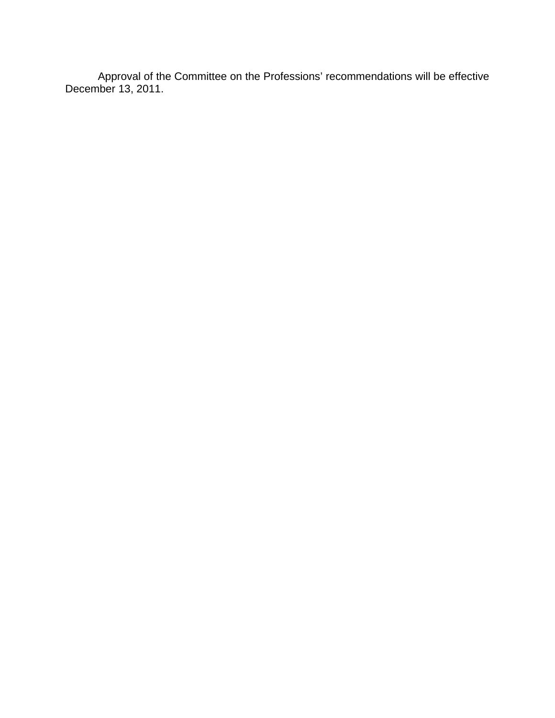Approval of the Committee on the Professions' recommendations will be effective December 13, 2011.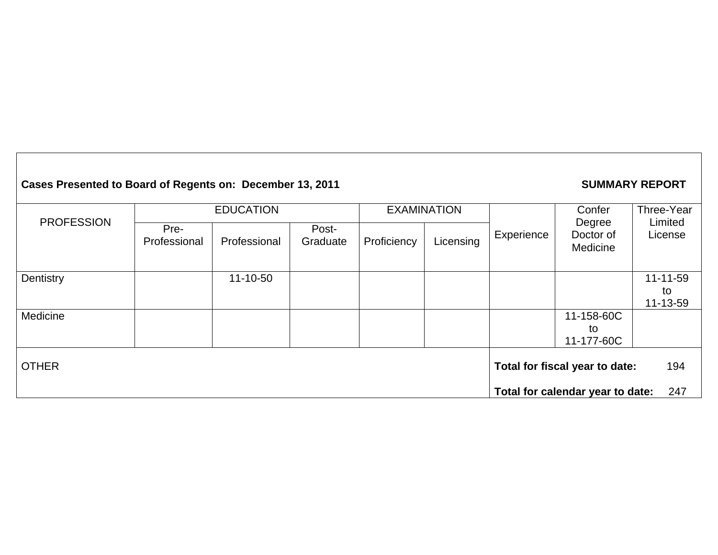# **Cases Presented to Board of Regents on: December 13, 2011 SUMMARY REPORT**

|                                                | <b>EDUCATION</b>     |                |                   | <b>EXAMINATION</b> |                                  |            | Confer                          | Three-Year         |
|------------------------------------------------|----------------------|----------------|-------------------|--------------------|----------------------------------|------------|---------------------------------|--------------------|
| <b>PROFESSION</b>                              | Pre-<br>Professional | Professional   | Post-<br>Graduate | Proficiency        | Licensing                        | Experience | Degree<br>Doctor of<br>Medicine | Limited<br>License |
| Dentistry                                      |                      | $11 - 10 - 50$ |                   |                    |                                  |            |                                 | 11-11-59<br>to     |
|                                                |                      |                |                   |                    |                                  |            |                                 | 11-13-59           |
| Medicine                                       |                      |                |                   |                    |                                  |            | 11-158-60C                      |                    |
|                                                |                      |                |                   |                    |                                  |            | to                              |                    |
|                                                |                      |                |                   |                    |                                  |            | 11-177-60C                      |                    |
| <b>OTHER</b><br>Total for fiscal year to date: |                      |                | 194               |                    |                                  |            |                                 |                    |
|                                                |                      |                |                   |                    | Total for calendar year to date: | 247        |                                 |                    |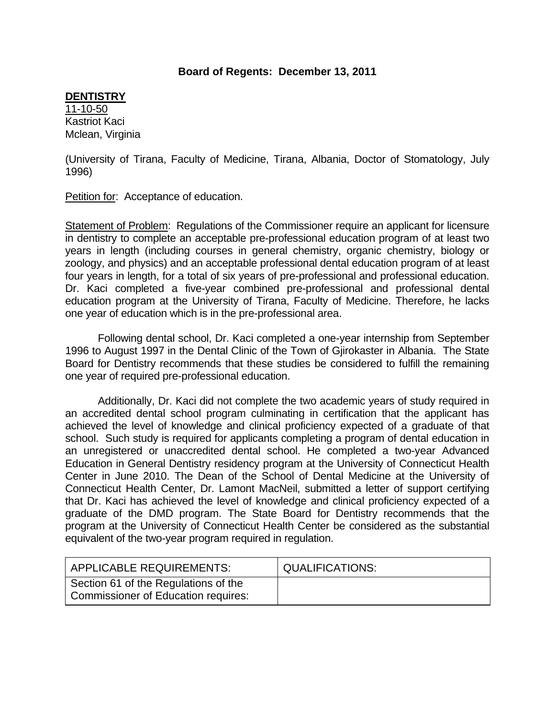# **Board of Regents: December 13, 2011**

### **DENTISTRY**

11-10-50 Kastriot Kaci Mclean, Virginia

(University of Tirana, Faculty of Medicine, Tirana, Albania, Doctor of Stomatology, July 1996)

Petition for: Acceptance of education.

Statement of Problem: Regulations of the Commissioner require an applicant for licensure in dentistry to complete an acceptable pre-professional education program of at least two years in length (including courses in general chemistry, organic chemistry, biology or zoology, and physics) and an acceptable professional dental education program of at least four years in length, for a total of six years of pre-professional and professional education. Dr. Kaci completed a five-year combined pre-professional and professional dental education program at the University of Tirana, Faculty of Medicine. Therefore, he lacks one year of education which is in the pre-professional area.

Following dental school, Dr. Kaci completed a one-year internship from September 1996 to August 1997 in the Dental Clinic of the Town of Gjirokaster in Albania. The State Board for Dentistry recommends that these studies be considered to fulfill the remaining one year of required pre-professional education.

Additionally, Dr. Kaci did not complete the two academic years of study required in an accredited dental school program culminating in certification that the applicant has achieved the level of knowledge and clinical proficiency expected of a graduate of that school. Such study is required for applicants completing a program of dental education in an unregistered or unaccredited dental school. He completed a two-year Advanced Education in General Dentistry residency program at the University of Connecticut Health Center in June 2010. The Dean of the School of Dental Medicine at the University of Connecticut Health Center, Dr. Lamont MacNeil, submitted a letter of support certifying that Dr. Kaci has achieved the level of knowledge and clinical proficiency expected of a graduate of the DMD program. The State Board for Dentistry recommends that the program at the University of Connecticut Health Center be considered as the substantial equivalent of the two-year program required in regulation.

| APPLICABLE REQUIREMENTS:                                                    | <b>QUALIFICATIONS:</b> |
|-----------------------------------------------------------------------------|------------------------|
| Section 61 of the Regulations of the<br>Commissioner of Education requires: |                        |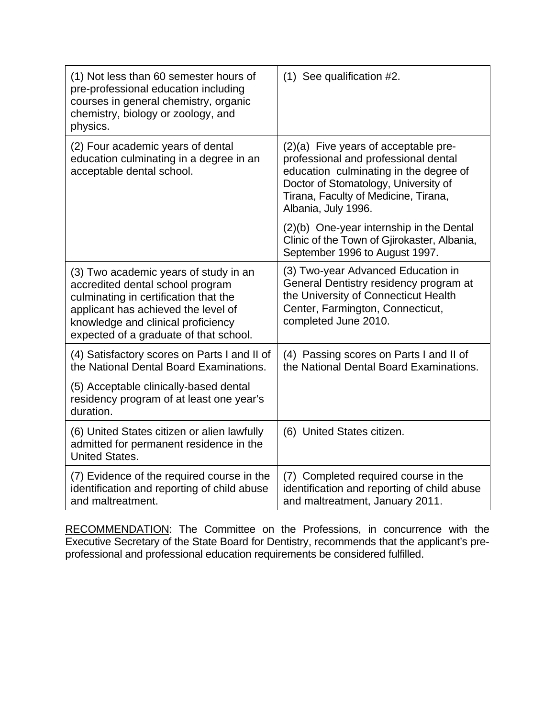| (1) Not less than 60 semester hours of<br>pre-professional education including<br>courses in general chemistry, organic<br>chemistry, biology or zoology, and<br>physics.                                                                 | $(1)$ See qualification #2.                                                                                                                                                                                                   |
|-------------------------------------------------------------------------------------------------------------------------------------------------------------------------------------------------------------------------------------------|-------------------------------------------------------------------------------------------------------------------------------------------------------------------------------------------------------------------------------|
| (2) Four academic years of dental<br>education culminating in a degree in an<br>acceptable dental school.                                                                                                                                 | (2)(a) Five years of acceptable pre-<br>professional and professional dental<br>education culminating in the degree of<br>Doctor of Stomatology, University of<br>Tirana, Faculty of Medicine, Tirana,<br>Albania, July 1996. |
|                                                                                                                                                                                                                                           | (2)(b) One-year internship in the Dental<br>Clinic of the Town of Gjirokaster, Albania,<br>September 1996 to August 1997.                                                                                                     |
| (3) Two academic years of study in an<br>accredited dental school program<br>culminating in certification that the<br>applicant has achieved the level of<br>knowledge and clinical proficiency<br>expected of a graduate of that school. | (3) Two-year Advanced Education in<br>General Dentistry residency program at<br>the University of Connecticut Health<br>Center, Farmington, Connecticut,<br>completed June 2010.                                              |
| (4) Satisfactory scores on Parts I and II of<br>the National Dental Board Examinations.                                                                                                                                                   | (4) Passing scores on Parts I and II of<br>the National Dental Board Examinations.                                                                                                                                            |
| (5) Acceptable clinically-based dental<br>residency program of at least one year's<br>duration.                                                                                                                                           |                                                                                                                                                                                                                               |
| (6) United States citizen or alien lawfully<br>admitted for permanent residence in the<br><b>United States.</b>                                                                                                                           | (6) United States citizen.                                                                                                                                                                                                    |
| (7) Evidence of the required course in the<br>identification and reporting of child abuse<br>and maltreatment.                                                                                                                            | (7) Completed required course in the<br>identification and reporting of child abuse<br>and maltreatment, January 2011.                                                                                                        |

RECOMMENDATION: The Committee on the Professions, in concurrence with the Executive Secretary of the State Board for Dentistry, recommends that the applicant's preprofessional and professional education requirements be considered fulfilled.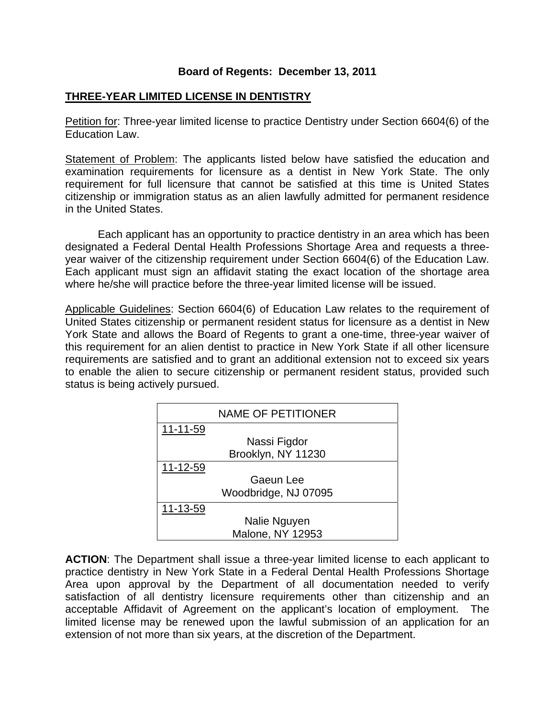# **Board of Regents: December 13, 2011**

# **THREE-YEAR LIMITED LICENSE IN DENTISTRY**

Petition for: Three-year limited license to practice Dentistry under Section 6604(6) of the Education Law.

Statement of Problem: The applicants listed below have satisfied the education and examination requirements for licensure as a dentist in New York State. The only requirement for full licensure that cannot be satisfied at this time is United States citizenship or immigration status as an alien lawfully admitted for permanent residence in the United States.

 Each applicant has an opportunity to practice dentistry in an area which has been designated a Federal Dental Health Professions Shortage Area and requests a threeyear waiver of the citizenship requirement under Section 6604(6) of the Education Law. Each applicant must sign an affidavit stating the exact location of the shortage area where he/she will practice before the three-year limited license will be issued.

Applicable Guidelines: Section 6604(6) of Education Law relates to the requirement of United States citizenship or permanent resident status for licensure as a dentist in New York State and allows the Board of Regents to grant a one-time, three-year waiver of this requirement for an alien dentist to practice in New York State if all other licensure requirements are satisfied and to grant an additional extension not to exceed six years to enable the alien to secure citizenship or permanent resident status, provided such status is being actively pursued.

|                | <b>NAME OF PETITIONER</b> |
|----------------|---------------------------|
| $11 - 11 - 59$ |                           |
|                | Nassi Figdor              |
|                | Brooklyn, NY 11230        |
| 11-12-59       |                           |
|                | Gaeun Lee                 |
|                | Woodbridge, NJ 07095      |
| 11-13-59       |                           |
|                | Nalie Nguyen              |
|                | <b>Malone, NY 12953</b>   |

**ACTION**: The Department shall issue a three-year limited license to each applicant to practice dentistry in New York State in a Federal Dental Health Professions Shortage Area upon approval by the Department of all documentation needed to verify satisfaction of all dentistry licensure requirements other than citizenship and an acceptable Affidavit of Agreement on the applicant's location of employment. The limited license may be renewed upon the lawful submission of an application for an extension of not more than six years, at the discretion of the Department.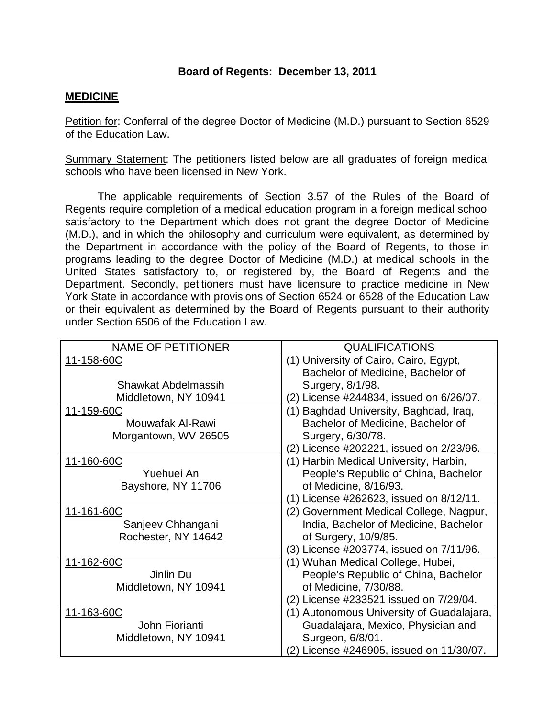# **Board of Regents: December 13, 2011**

### **MEDICINE**

Petition for: Conferral of the degree Doctor of Medicine (M.D.) pursuant to Section 6529 of the Education Law.

Summary Statement: The petitioners listed below are all graduates of foreign medical schools who have been licensed in New York.

 The applicable requirements of Section 3.57 of the Rules of the Board of Regents require completion of a medical education program in a foreign medical school satisfactory to the Department which does not grant the degree Doctor of Medicine (M.D.), and in which the philosophy and curriculum were equivalent, as determined by the Department in accordance with the policy of the Board of Regents, to those in programs leading to the degree Doctor of Medicine (M.D.) at medical schools in the United States satisfactory to, or registered by, the Board of Regents and the Department. Secondly, petitioners must have licensure to practice medicine in New York State in accordance with provisions of Section 6524 or 6528 of the Education Law or their equivalent as determined by the Board of Regents pursuant to their authority under Section 6506 of the Education Law.

| <b>NAME OF PETITIONER</b> | <b>QUALIFICATIONS</b>                     |
|---------------------------|-------------------------------------------|
| 11-158-60C                | (1) University of Cairo, Cairo, Egypt,    |
|                           | Bachelor of Medicine, Bachelor of         |
| Shawkat Abdelmassih       | Surgery, 8/1/98.                          |
| Middletown, NY 10941      | (2) License #244834, issued on 6/26/07.   |
| 11-159-60C                | (1) Baghdad University, Baghdad, Iraq,    |
| Mouwafak Al-Rawi          | Bachelor of Medicine, Bachelor of         |
| Morgantown, WV 26505      | Surgery, 6/30/78.                         |
|                           | (2) License #202221, issued on 2/23/96.   |
| 11-160-60C                | (1) Harbin Medical University, Harbin,    |
| Yuehuei An                | People's Republic of China, Bachelor      |
| Bayshore, NY 11706        | of Medicine, 8/16/93.                     |
|                           | (1) License #262623, issued on 8/12/11.   |
| 11-161-60C                | (2) Government Medical College, Nagpur,   |
| Sanjeev Chhangani         | India, Bachelor of Medicine, Bachelor     |
| Rochester, NY 14642       | of Surgery, 10/9/85.                      |
|                           | (3) License #203774, issued on 7/11/96.   |
| 11-162-60C                | (1) Wuhan Medical College, Hubei,         |
| Jinlin Du                 | People's Republic of China, Bachelor      |
| Middletown, NY 10941      | of Medicine, 7/30/88.                     |
|                           | (2) License #233521 issued on 7/29/04.    |
| 11-163-60C                | (1) Autonomous University of Guadalajara, |
| John Fiorianti            | Guadalajara, Mexico, Physician and        |
| Middletown, NY 10941      | Surgeon, 6/8/01.                          |
|                           | (2) License #246905, issued on 11/30/07.  |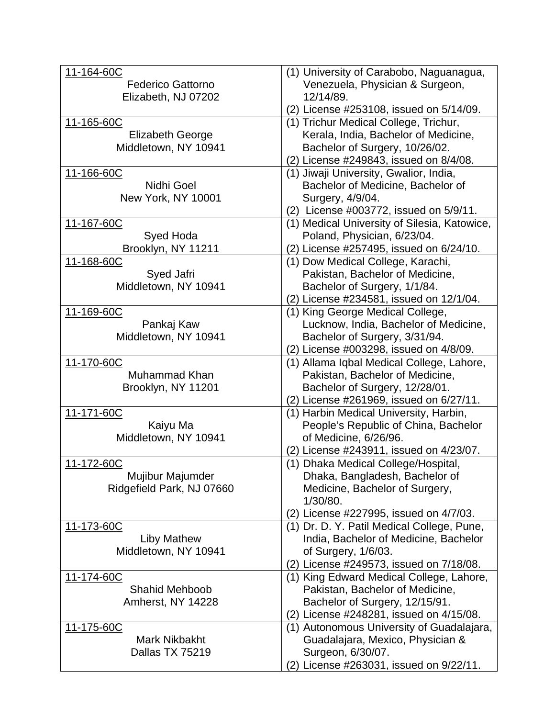| 11-164-60C                | (1) University of Carabobo, Naguanagua,      |
|---------------------------|----------------------------------------------|
| <b>Federico Gattorno</b>  | Venezuela, Physician & Surgeon,              |
| Elizabeth, NJ 07202       | 12/14/89.                                    |
|                           | (2) License #253108, issued on 5/14/09.      |
| 11-165-60C                | (1) Trichur Medical College, Trichur,        |
| <b>Elizabeth George</b>   | Kerala, India, Bachelor of Medicine,         |
| Middletown, NY 10941      | Bachelor of Surgery, 10/26/02.               |
|                           | (2) License #249843, issued on 8/4/08.       |
| 11-166-60C                | (1) Jiwaji University, Gwalior, India,       |
| Nidhi Goel                | Bachelor of Medicine, Bachelor of            |
| New York, NY 10001        | Surgery, 4/9/04.                             |
|                           | (2) License #003772, issued on 5/9/11.       |
| 11-167-60C                | (1) Medical University of Silesia, Katowice, |
| Syed Hoda                 | Poland, Physician, 6/23/04.                  |
| Brooklyn, NY 11211        | (2) License #257495, issued on 6/24/10.      |
| 11-168-60C                | (1) Dow Medical College, Karachi,            |
| Syed Jafri                | Pakistan, Bachelor of Medicine,              |
| Middletown, NY 10941      | Bachelor of Surgery, 1/1/84.                 |
|                           | (2) License #234581, issued on 12/1/04.      |
| 11-169-60C                | (1) King George Medical College,             |
| Pankaj Kaw                | Lucknow, India, Bachelor of Medicine,        |
| Middletown, NY 10941      | Bachelor of Surgery, 3/31/94.                |
|                           | (2) License #003298, issued on 4/8/09.       |
| 11-170-60C                | (1) Allama Iqbal Medical College, Lahore,    |
| Muhammad Khan             | Pakistan, Bachelor of Medicine,              |
| Brooklyn, NY 11201        | Bachelor of Surgery, 12/28/01.               |
|                           | (2) License #261969, issued on 6/27/11.      |
| 11-171-60C                | (1) Harbin Medical University, Harbin,       |
| Kaiyu Ma                  | People's Republic of China, Bachelor         |
| Middletown, NY 10941      | of Medicine, 6/26/96.                        |
|                           | (2) License #243911, issued on 4/23/07.      |
| 11-172-60C                | (1) Dhaka Medical College/Hospital,          |
| Mujibur Majumder          | Dhaka, Bangladesh, Bachelor of               |
| Ridgefield Park, NJ 07660 | Medicine, Bachelor of Surgery,               |
|                           | 1/30/80.                                     |
|                           | (2) License #227995, issued on 4/7/03.       |
| 11-173-60C                | (1) Dr. D. Y. Patil Medical College, Pune,   |
| <b>Liby Mathew</b>        | India, Bachelor of Medicine, Bachelor        |
| Middletown, NY 10941      | of Surgery, 1/6/03.                          |
|                           | (2) License #249573, issued on 7/18/08.      |
| 11-174-60C                | (1) King Edward Medical College, Lahore,     |
| <b>Shahid Mehboob</b>     | Pakistan, Bachelor of Medicine,              |
| Amherst, NY 14228         | Bachelor of Surgery, 12/15/91.               |
|                           | (2) License #248281, issued on 4/15/08.      |
| 11-175-60C                | (1) Autonomous University of Guadalajara,    |
| Mark Nikbakht             | Guadalajara, Mexico, Physician &             |
| Dallas TX 75219           | Surgeon, 6/30/07.                            |
|                           | (2) License #263031, issued on 9/22/11.      |